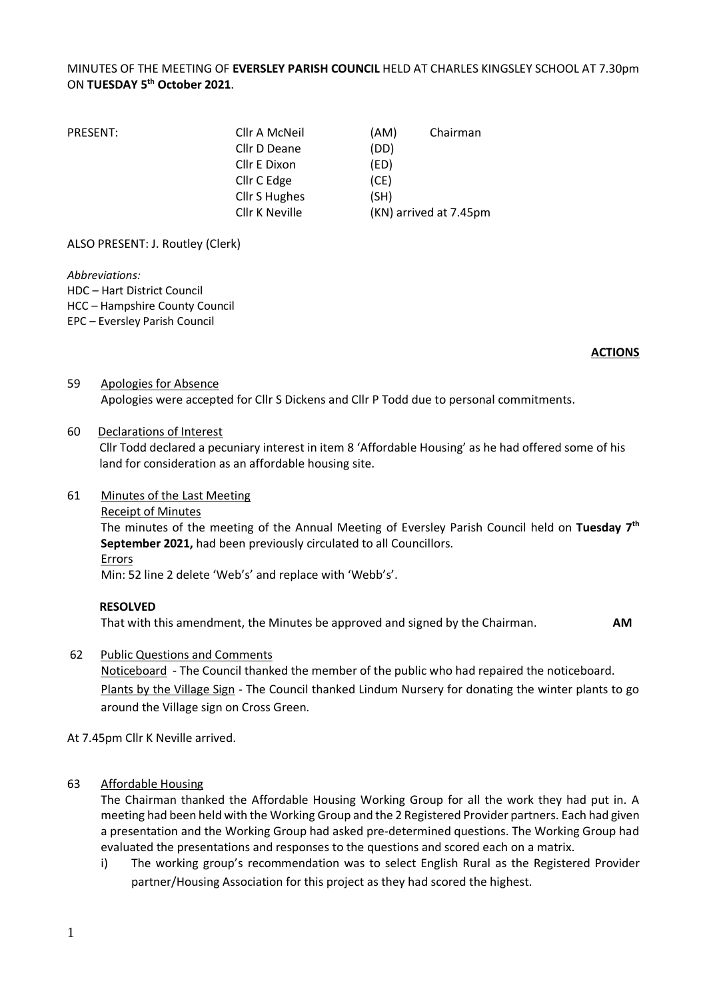#### MINUTES OF THE MEETING OF **EVERSLEY PARISH COUNCIL** HELD AT CHARLES KINGSLEY SCHOOL AT 7.30pm ON **TUESDAY 5 th October 2021**.

| Cllr A McNeil  | (AM) | Chairman               |
|----------------|------|------------------------|
| Cllr D Deane   | (DD) |                        |
| Cllr E Dixon   | (ED) |                        |
| Cllr C Edge    | (CE) |                        |
| Cllr S Hughes  | (SH) |                        |
| Cllr K Neville |      | (KN) arrived at 7.45pm |
|                |      |                        |

ALSO PRESENT: J. Routley (Clerk)

*Abbreviations:* 

HDC – Hart District Council

HCC – Hampshire County Council

EPC – Eversley Parish Council

#### **ACTIONS**

#### 59 Apologies for Absence

Apologies were accepted for Cllr S Dickens and Cllr P Todd due to personal commitments.

#### 60 Declarations of Interest

Cllr Todd declared a pecuniary interest in item 8 'Affordable Housing' as he had offered some of his land for consideration as an affordable housing site.

#### 61 Minutes of the Last Meeting

#### Receipt of Minutes

The minutes of the meeting of the Annual Meeting of Eversley Parish Council held on **Tuesday 7 th September 2021,** had been previously circulated to all Councillors.

#### Errors

Min: 52 line 2 delete 'Web's' and replace with 'Webb's'.

#### **RESOLVED**

That with this amendment, the Minutes be approved and signed by the Chairman. **AM**

62 Public Questions and Comments

Noticeboard - The Council thanked the member of the public who had repaired the noticeboard. Plants by the Village Sign - The Council thanked Lindum Nursery for donating the winter plants to go around the Village sign on Cross Green.

At 7.45pm Cllr K Neville arrived.

#### 63 Affordable Housing

The Chairman thanked the Affordable Housing Working Group for all the work they had put in. A meeting had been held with the Working Group and the 2 Registered Provider partners. Each had given a presentation and the Working Group had asked pre-determined questions. The Working Group had evaluated the presentations and responses to the questions and scored each on a matrix.

i) The working group's recommendation was to select English Rural as the Registered Provider partner/Housing Association for this project as they had scored the highest.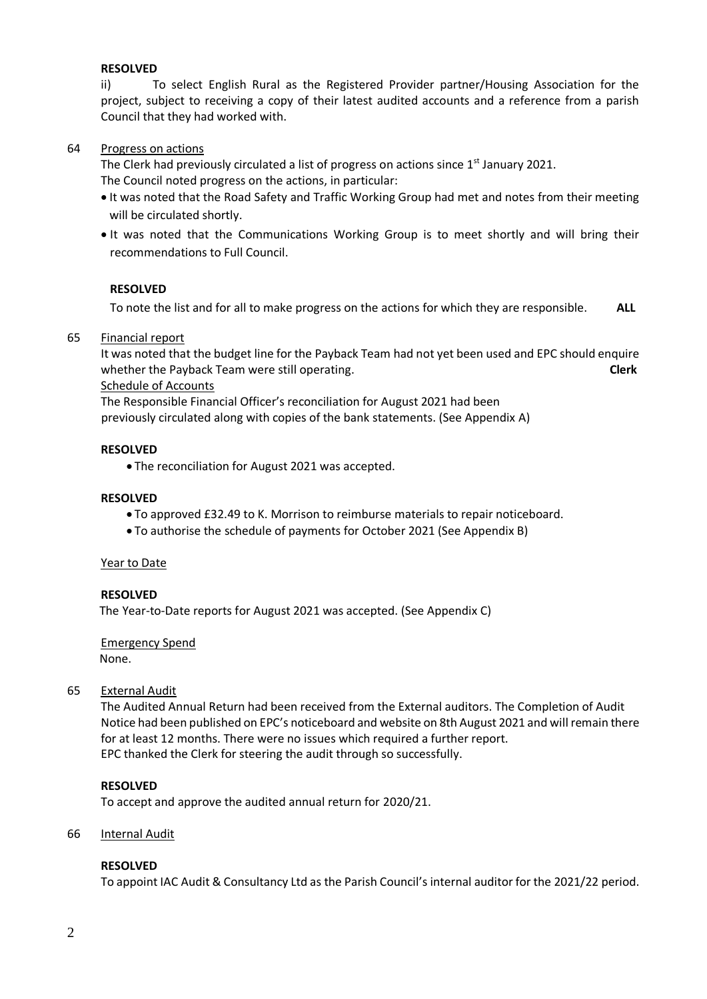#### **RESOLVED**

ii) To select English Rural as the Registered Provider partner/Housing Association for the project, subject to receiving a copy of their latest audited accounts and a reference from a parish Council that they had worked with.

#### 64 Progress on actions

The Clerk had previously circulated a list of progress on actions since 1<sup>st</sup> January 2021. The Council noted progress on the actions, in particular:

- It was noted that the Road Safety and Traffic Working Group had met and notes from their meeting will be circulated shortly.
- It was noted that the Communications Working Group is to meet shortly and will bring their recommendations to Full Council.

#### **RESOLVED**

To note the list and for all to make progress on the actions for which they are responsible. **ALL**

#### 65 Financial report

It was noted that the budget line for the Payback Team had not yet been used and EPC should enquire whether the Payback Team were still operating. **Cleam** and the control of the clerk

Schedule of Accounts

The Responsible Financial Officer's reconciliation for August 2021 had been previously circulated along with copies of the bank statements. (See Appendix A)

#### **RESOLVED**

• The reconciliation for August 2021 was accepted.

#### **RESOLVED**

- To approved £32.49 to K. Morrison to reimburse materials to repair noticeboard.
- To authorise the schedule of payments for October 2021 (See Appendix B)

#### Year to Date

#### **RESOLVED**

The Year-to-Date reports for August 2021 was accepted. (See Appendix C)

Emergency Spend None.

#### 65 External Audit

The Audited Annual Return had been received from the External auditors. The Completion of Audit Notice had been published on EPC's noticeboard and website on 8th August 2021 and will remain there for at least 12 months. There were no issues which required a further report. EPC thanked the Clerk for steering the audit through so successfully.

#### **RESOLVED**

To accept and approve the audited annual return for 2020/21.

#### 66 Internal Audit

#### **RESOLVED**

To appoint IAC Audit & Consultancy Ltd as the Parish Council's internal auditor for the 2021/22 period.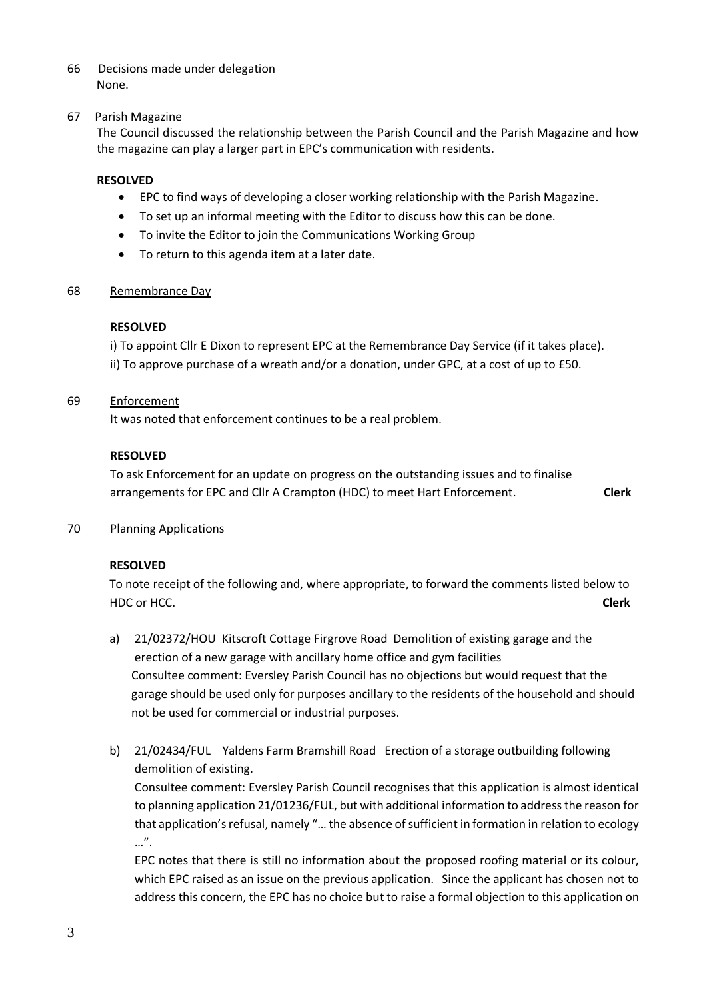#### 66 Decisions made under delegation None.

#### 67 Parish Magazine

The Council discussed the relationship between the Parish Council and the Parish Magazine and how the magazine can play a larger part in EPC's communication with residents.

#### **RESOLVED**

- EPC to find ways of developing a closer working relationship with the Parish Magazine.
- To set up an informal meeting with the Editor to discuss how this can be done.
- To invite the Editor to join the Communications Working Group
- To return to this agenda item at a later date.

#### 68 Remembrance Day

#### **RESOLVED**

i) To appoint Cllr E Dixon to represent EPC at the Remembrance Day Service (if it takes place). ii) To approve purchase of a wreath and/or a donation, under GPC, at a cost of up to £50.

#### 69 Enforcement

It was noted that enforcement continues to be a real problem.

#### **RESOLVED**

To ask Enforcement for an update on progress on the outstanding issues and to finalise arrangements for EPC and Cllr A Crampton (HDC) to meet Hart Enforcement. **Clerk**

70 Planning Applications

#### **RESOLVED**

To note receipt of the following and, where appropriate, to forward the comments listed below to HDC or HCC. **Clerk**

- a) 21/02372/HOU Kitscroft Cottage Firgrove Road Demolition of existing garage and the erection of a new garage with ancillary home office and gym facilities Consultee comment: Eversley Parish Council has no objections but would request that the garage should be used only for purposes ancillary to the residents of the household and should not be used for commercial or industrial purposes.
- b) 21/02434/FUL Yaldens Farm Bramshill Road Erection of a storage outbuilding following demolition of existing.

Consultee comment: Eversley Parish Council recognises that this application is almost identical to planning application 21/01236/FUL, but with additional information to address the reason for that application's refusal, namely "… the absence of sufficient in formation in relation to ecology …".

EPC notes that there is still no information about the proposed roofing material or its colour, which EPC raised as an issue on the previous application. Since the applicant has chosen not to address this concern, the EPC has no choice but to raise a formal objection to this application on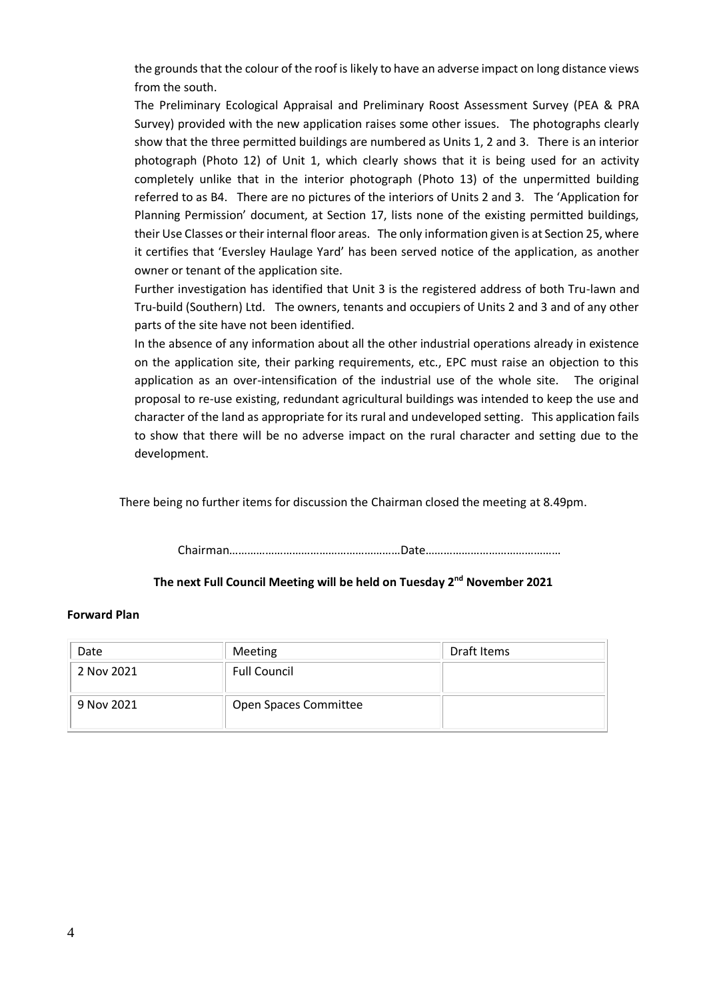the grounds that the colour of the roof is likely to have an adverse impact on long distance views from the south.

The Preliminary Ecological Appraisal and Preliminary Roost Assessment Survey (PEA & PRA Survey) provided with the new application raises some other issues. The photographs clearly show that the three permitted buildings are numbered as Units 1, 2 and 3. There is an interior photograph (Photo 12) of Unit 1, which clearly shows that it is being used for an activity completely unlike that in the interior photograph (Photo 13) of the unpermitted building referred to as B4. There are no pictures of the interiors of Units 2 and 3. The 'Application for Planning Permission' document, at Section 17, lists none of the existing permitted buildings, their Use Classes or their internal floor areas. The only information given is at Section 25, where it certifies that 'Eversley Haulage Yard' has been served notice of the application, as another owner or tenant of the application site.

Further investigation has identified that Unit 3 is the registered address of both Tru-lawn and Tru-build (Southern) Ltd. The owners, tenants and occupiers of Units 2 and 3 and of any other parts of the site have not been identified.

In the absence of any information about all the other industrial operations already in existence on the application site, their parking requirements, etc., EPC must raise an objection to this application as an over-intensification of the industrial use of the whole site. The original proposal to re-use existing, redundant agricultural buildings was intended to keep the use and character of the land as appropriate for its rural and undeveloped setting. This application fails to show that there will be no adverse impact on the rural character and setting due to the development.

There being no further items for discussion the Chairman closed the meeting at 8.49pm.

Chairman…………………………………………………Date………………………………………

#### **The next Full Council Meeting will be held on Tuesday 2 nd November 2021**

#### **Forward Plan**

| Date       | Meeting               | Draft Items |
|------------|-----------------------|-------------|
| 2 Nov 2021 | <b>Full Council</b>   |             |
| 9 Nov 2021 | Open Spaces Committee |             |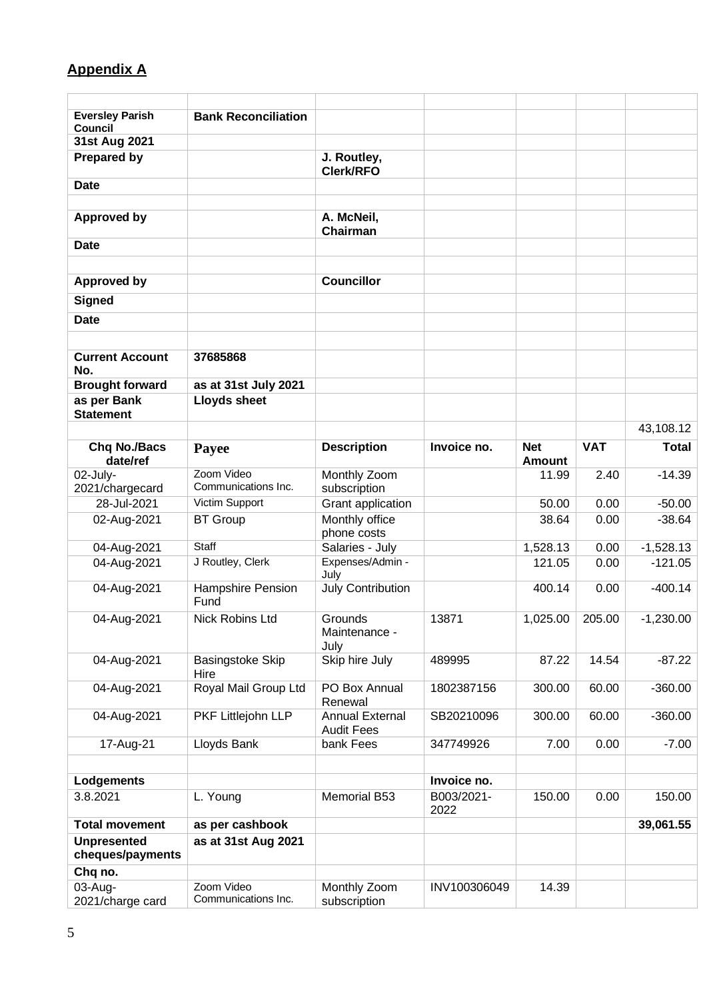# **Appendix A**

| 43,108.12    |
|--------------|
| <b>Total</b> |
| $-14.39$     |
|              |
| $-50.00$     |
| $-38.64$     |
| $-1,528.13$  |
| $-121.05$    |
| $-400.14$    |
| $-1,230.00$  |
| $-87.22$     |
| $-360.00$    |
| $-360.00$    |
| $-7.00$      |
|              |
| 150.00       |
|              |
| 39,061.55    |
|              |
|              |
|              |
|              |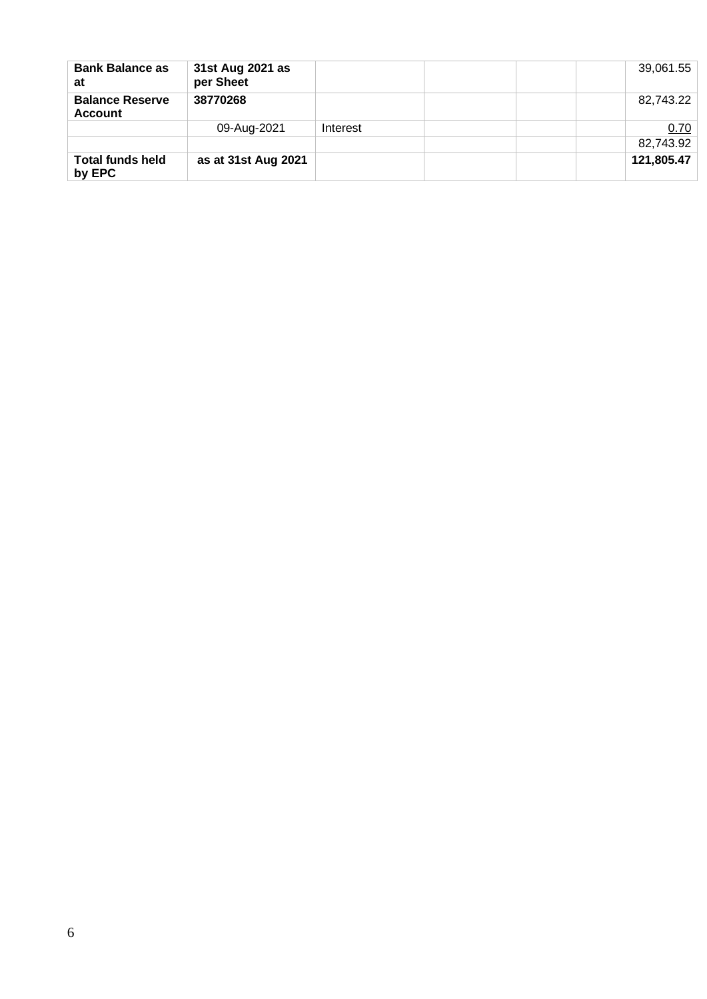| <b>Bank Balance as</b><br>at             | 31st Aug 2021 as<br>per Sheet |          | 39,061.55  |
|------------------------------------------|-------------------------------|----------|------------|
| <b>Balance Reserve</b><br><b>Account</b> | 38770268                      |          | 82,743.22  |
|                                          | 09-Aug-2021                   | Interest | 0.70       |
|                                          |                               |          | 82,743.92  |
| <b>Total funds held</b><br>by EPC        | as at 31st Aug 2021           |          | 121,805.47 |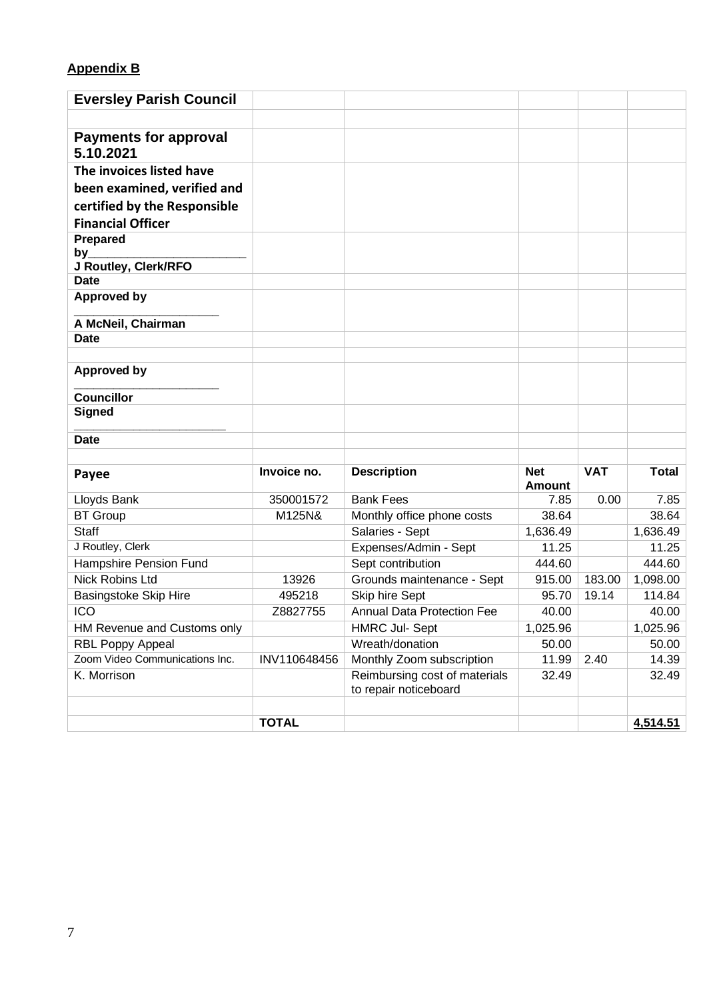### **Appendix B**

| <b>Eversley Parish Council</b>            |              |                                                     |                             |            |                   |
|-------------------------------------------|--------------|-----------------------------------------------------|-----------------------------|------------|-------------------|
|                                           |              |                                                     |                             |            |                   |
| <b>Payments for approval</b><br>5.10.2021 |              |                                                     |                             |            |                   |
| The invoices listed have                  |              |                                                     |                             |            |                   |
| been examined, verified and               |              |                                                     |                             |            |                   |
| certified by the Responsible              |              |                                                     |                             |            |                   |
| <b>Financial Officer</b>                  |              |                                                     |                             |            |                   |
| <b>Prepared</b>                           |              |                                                     |                             |            |                   |
| by                                        |              |                                                     |                             |            |                   |
| J Routley, Clerk/RFO<br><b>Date</b>       |              |                                                     |                             |            |                   |
| <b>Approved by</b>                        |              |                                                     |                             |            |                   |
|                                           |              |                                                     |                             |            |                   |
| A McNeil, Chairman                        |              |                                                     |                             |            |                   |
| <b>Date</b>                               |              |                                                     |                             |            |                   |
|                                           |              |                                                     |                             |            |                   |
| <b>Approved by</b>                        |              |                                                     |                             |            |                   |
| <b>Councillor</b>                         |              |                                                     |                             |            |                   |
| <b>Signed</b>                             |              |                                                     |                             |            |                   |
|                                           |              |                                                     |                             |            |                   |
| <b>Date</b>                               |              |                                                     |                             |            |                   |
|                                           |              |                                                     |                             |            |                   |
| Payee                                     | Invoice no.  | <b>Description</b>                                  | <b>Net</b><br><b>Amount</b> | <b>VAT</b> | <b>Total</b>      |
| Lloyds Bank                               | 350001572    | <b>Bank Fees</b>                                    | 7.85                        | 0.00       | 7.85              |
| <b>BT Group</b>                           | M125N&       | Monthly office phone costs                          | 38.64                       |            | 38.64             |
| <b>Staff</b>                              |              | Salaries - Sept                                     | 1,636.49                    |            | 1,636.49          |
| J Routley, Clerk                          |              | Expenses/Admin - Sept                               | 11.25                       |            | 11.25             |
| Hampshire Pension Fund                    |              | Sept contribution                                   | 444.60                      |            | 444.60            |
| <b>Nick Robins Ltd</b>                    | 13926        | Grounds maintenance - Sept                          | 915.00                      | 183.00     | 1,098.00          |
| <b>Basingstoke Skip Hire</b>              | 495218       | Skip hire Sept<br><b>Annual Data Protection Fee</b> | 95.70                       | 19.14      | 114.84            |
| <b>ICO</b><br>HM Revenue and Customs only | Z8827755     | <b>HMRC Jul- Sept</b>                               | 40.00<br>1,025.96           |            | 40.00<br>1,025.96 |
| <b>RBL Poppy Appeal</b>                   |              | Wreath/donation                                     | 50.00                       |            | 50.00             |
| Zoom Video Communications Inc.            | INV110648456 | Monthly Zoom subscription                           | 11.99                       | 2.40       | 14.39             |
| K. Morrison                               |              | Reimbursing cost of materials                       | 32.49                       |            | 32.49             |
|                                           |              | to repair noticeboard                               |                             |            |                   |
|                                           |              |                                                     |                             |            |                   |
|                                           | <b>TOTAL</b> |                                                     |                             |            | 4,514.51          |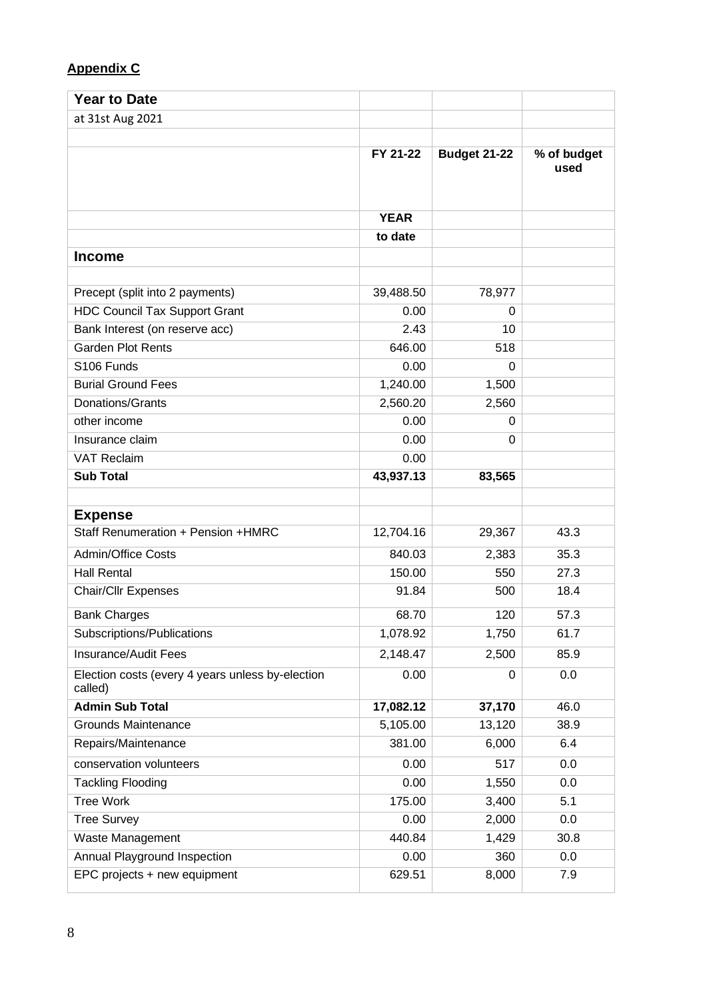## **Appendix C**

| <b>Year to Date</b>                                         |             |                     |                     |
|-------------------------------------------------------------|-------------|---------------------|---------------------|
| at 31st Aug 2021                                            |             |                     |                     |
|                                                             |             |                     |                     |
|                                                             | FY 21-22    | <b>Budget 21-22</b> | % of budget<br>used |
|                                                             | <b>YEAR</b> |                     |                     |
|                                                             | to date     |                     |                     |
| <b>Income</b>                                               |             |                     |                     |
|                                                             |             |                     |                     |
| Precept (split into 2 payments)                             | 39,488.50   | 78,977              |                     |
| <b>HDC Council Tax Support Grant</b>                        | 0.00        | 0                   |                     |
| Bank Interest (on reserve acc)                              | 2.43        | 10                  |                     |
| <b>Garden Plot Rents</b>                                    | 646.00      | 518                 |                     |
| S106 Funds                                                  | 0.00        | $\Omega$            |                     |
| <b>Burial Ground Fees</b>                                   | 1,240.00    | 1,500               |                     |
| Donations/Grants                                            | 2,560.20    | 2,560               |                     |
| other income                                                | 0.00        | 0                   |                     |
| Insurance claim                                             | 0.00        | 0                   |                     |
| <b>VAT Reclaim</b>                                          | 0.00        |                     |                     |
| <b>Sub Total</b>                                            | 43,937.13   | 83,565              |                     |
|                                                             |             |                     |                     |
| <b>Expense</b>                                              |             |                     |                     |
| Staff Renumeration + Pension +HMRC                          | 12,704.16   | 29,367              | 43.3                |
| <b>Admin/Office Costs</b>                                   | 840.03      | 2,383               | 35.3                |
| <b>Hall Rental</b>                                          | 150.00      | 550                 | 27.3                |
| Chair/Cllr Expenses                                         | 91.84       | 500                 | 18.4                |
| <b>Bank Charges</b>                                         | 68.70       | 120                 | 57.3                |
| Subscriptions/Publications                                  | 1,078.92    | 1,750               | 61.7                |
| Insurance/Audit Fees                                        | 2,148.47    | 2,500               | 85.9                |
| Election costs (every 4 years unless by-election<br>called) | 0.00        | 0                   | 0.0                 |
| <b>Admin Sub Total</b>                                      | 17,082.12   | 37,170              | 46.0                |
| <b>Grounds Maintenance</b>                                  | 5,105.00    | 13,120              | 38.9                |
| Repairs/Maintenance                                         | 381.00      | 6,000               | 6.4                 |
| conservation volunteers                                     | 0.00        | 517                 | 0.0                 |
| <b>Tackling Flooding</b>                                    | 0.00        | 1,550               | 0.0                 |
| <b>Tree Work</b>                                            | 175.00      | 3,400               | 5.1                 |
| <b>Tree Survey</b>                                          | 0.00        | 2,000               | 0.0                 |
| Waste Management                                            | 440.84      | 1,429               | 30.8                |
| Annual Playground Inspection                                | 0.00        | 360                 | 0.0                 |
| EPC projects + new equipment                                | 629.51      | 8,000               | 7.9                 |